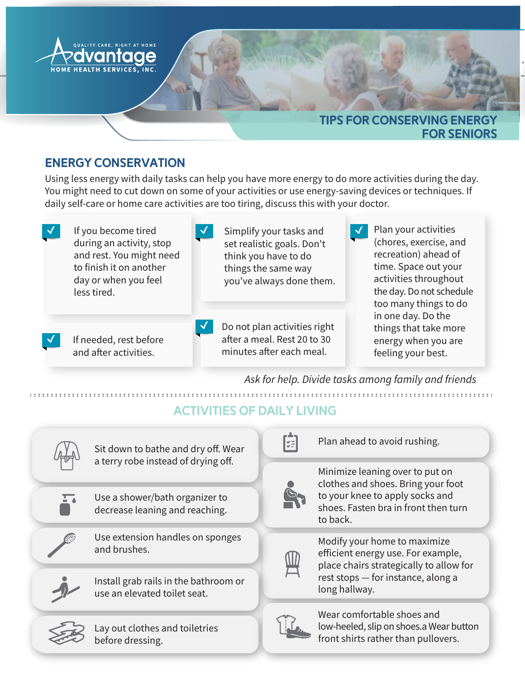

#### Energy conservation

Using less energy with daily tasks can help you have more energy to do more activities during the day. You might need to cut down on some of your activities or use energy-saving devices or techniques. If daily self-care or home care activities are too tiring, discuss this with your doctor.

| If you become tired<br>during an activity, stop<br>and rest. You might need<br>to finish it on another<br>day or when you feel<br>less tired. | Simplify your tasks and<br>set realistic goals. Don't<br>think you have to do<br>things the same way<br>you've always done them. |  | Plan your activities<br>(chores, exercise, and<br>recreation) ahead of<br>time. Space out your<br>activities throughout<br>the day. Do not schedule<br>too many things to do<br>in one day. Do the<br>things that take more<br>energy when you are<br>feeling your best. |
|-----------------------------------------------------------------------------------------------------------------------------------------------|----------------------------------------------------------------------------------------------------------------------------------|--|--------------------------------------------------------------------------------------------------------------------------------------------------------------------------------------------------------------------------------------------------------------------------|
| If needed, rest before<br>and after activities.                                                                                               | Do not plan activities right<br>after a meal. Rest 20 to 30<br>minutes after each meal.                                          |  |                                                                                                                                                                                                                                                                          |

Ask for help. Divide tasks among family and friends

## Activities of Daily Living